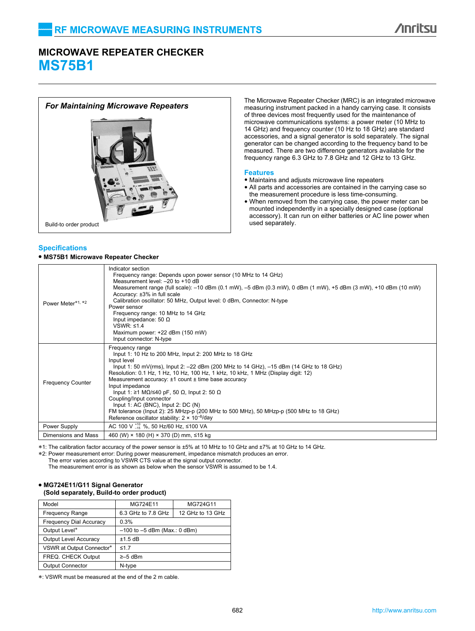# **MICROWAVE REPEATER CHECKER MS75B1**



# **Specifi cations**

### **• MS75B1 Microwave Repeater Checker**

The Microwave Repeater Checker (MRC) is an integrated microwave<br>For Maintaining Microwave Repeaters<br>For Maintaining Microwave Repeaters<br>For Maintaining Microwave Repeaters of three devices most frequently used for the maintenance of microwave communications systems: a power meter (10 MHz to 14 GHz) and frequency counter (10 Hz to 18 GHz) are standard accessories, and a signal generator is sold separately. The signal generator can be changed according to the frequency band to be measured. There are two difference generators available for the frequency range 6.3 GHz to 7.8 GHz and 12 GHz to 13 GHz.

### **Features**

- Maintains and adjusts microwave line repeaters
- All parts and accessories are contained in the carrying case so the measurement procedure is less time-consuming.
- When removed from the carrying case, the power meter can be mounted independently in a specially designed case (optional accessory). It can run on either batteries or AC line power when used separately.

| Power Meter*1, *2        | Indicator section<br>Frequency range: Depends upon power sensor (10 MHz to 14 GHz)<br>Measurement level: $-20$ to $+10$ dB<br>Measurement range (full scale): -10 dBm (0.1 mW), -5 dBm (0.3 mW), 0 dBm (1 mW), +5 dBm (3 mW), +10 dBm (10 mW)<br>Accuracy: ±3% in full scale<br>Calibration oscillator: 50 MHz, Output level: 0 dBm, Connector: N-type<br>Power sensor<br>Frequency range: 10 MHz to 14 GHz<br>Input impedance: 50 $\Omega$<br>VSWR: $\leq 1.4$<br>Maximum power: +22 dBm (150 mW)<br>Input connector: N-type                                                                                                                          |
|--------------------------|--------------------------------------------------------------------------------------------------------------------------------------------------------------------------------------------------------------------------------------------------------------------------------------------------------------------------------------------------------------------------------------------------------------------------------------------------------------------------------------------------------------------------------------------------------------------------------------------------------------------------------------------------------|
| <b>Frequency Counter</b> | Frequency range<br>Input 1: 10 Hz to 200 MHz, Input 2: 200 MHz to 18 GHz<br>Input level<br>lnput 1: 50 mV(rms), lnput 2: -22 dBm (200 MHz to 14 GHz), -15 dBm (14 GHz to 18 GHz)<br>Resolution: 0.1 Hz, 1 Hz, 10 Hz, 100 Hz, 1 kHz, 10 kHz, 1 MHz (Display digit: 12)<br>Measurement accuracy: $±1$ count $±$ time base accuracy<br>Input impedance<br>Input 1: $\geq$ 1 M $\Omega$ /≤40 pF, 50 $\Omega$ , Input 2: 50 $\Omega$<br>Coupling/Input connector<br>Input 1: AC (BNC), Input 2: $DC(N)$<br>FM tolerance (lnput 2): 25 MHzp-p (200 MHz to 500 MHz), 50 MHzp-p (500 MHz to 18 GHz)<br>Reference oscillator stability: $2 \times 10^{-8}$ /day |
| Power Supply             | AC 100 V $^{+10}_{-15}$ %, 50 Hz/60 Hz, ≤100 VA                                                                                                                                                                                                                                                                                                                                                                                                                                                                                                                                                                                                        |
| Dimensions and Mass      | 460 (W) × 180 (H) × 370 (D) mm, ≤15 kg                                                                                                                                                                                                                                                                                                                                                                                                                                                                                                                                                                                                                 |

∗1: The calibration factor accuracy of the power sensor is ±5% at 10 MHz to 10 GHz and ±7% at 10 GHz to 14 GHz.

∗2: Power measurement error: During power measurement, impedance mismatch produces an error.

The error varies according to VSWR CTS value at the signal output connector.

The measurement error is as shown as below when the sensor VSWR is assumed to be 1.4.

#### **• MG724E11/G11 Signal Generator (Sold separately, Build-to order product)**

| Model                          | MG724E11                         | MG724G11         |  |
|--------------------------------|----------------------------------|------------------|--|
| <b>Frequency Range</b>         | 6.3 GHz to 7.8 GHz               | 12 GHz to 13 GHz |  |
| <b>Frequency Dial Accuracy</b> | 0.3%                             |                  |  |
| Output Level*                  | $-100$ to $-5$ dBm (Max.: 0 dBm) |                  |  |
| <b>Output Level Accuracy</b>   | $±1.5$ dB                        |                  |  |
| VSWR at Output Connector*      | $\leq 1.7$                       |                  |  |
| FREQ. CHECK Output             | $\ge -5$ dBm                     |                  |  |
| <b>Output Connector</b>        | N-type                           |                  |  |

∗: VSWR must be measured at the end of the 2 m cable.